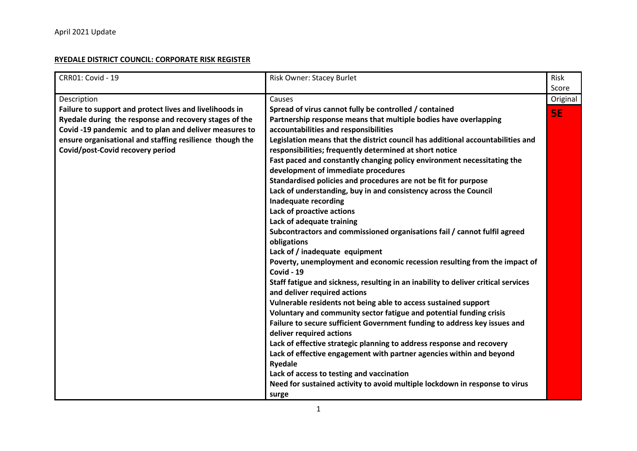## **RYEDALE DISTRICT COUNCIL: CORPORATE RISK REGISTER**

| CRR01: Covid - 19                                        | Risk Owner: Stacey Burlet                                                          | <b>Risk</b> |
|----------------------------------------------------------|------------------------------------------------------------------------------------|-------------|
|                                                          |                                                                                    | Score       |
| Description                                              | Causes                                                                             | Original    |
| Failure to support and protect lives and livelihoods in  | Spread of virus cannot fully be controlled / contained                             | <b>SE</b>   |
| Ryedale during the response and recovery stages of the   | Partnership response means that multiple bodies have overlapping                   |             |
| Covid -19 pandemic and to plan and deliver measures to   | accountabilities and responsibilities                                              |             |
| ensure organisational and staffing resilience though the | Legislation means that the district council has additional accountabilities and    |             |
| Covid/post-Covid recovery period                         | responsibilities; frequently determined at short notice                            |             |
|                                                          | Fast paced and constantly changing policy environment necessitating the            |             |
|                                                          | development of immediate procedures                                                |             |
|                                                          | Standardised policies and procedures are not be fit for purpose                    |             |
|                                                          | Lack of understanding, buy in and consistency across the Council                   |             |
|                                                          | <b>Inadequate recording</b>                                                        |             |
|                                                          | Lack of proactive actions                                                          |             |
|                                                          | Lack of adequate training                                                          |             |
|                                                          | Subcontractors and commissioned organisations fail / cannot fulfil agreed          |             |
|                                                          | obligations                                                                        |             |
|                                                          | Lack of / inadequate equipment                                                     |             |
|                                                          | Poverty, unemployment and economic recession resulting from the impact of          |             |
|                                                          | <b>Covid - 19</b>                                                                  |             |
|                                                          | Staff fatigue and sickness, resulting in an inability to deliver critical services |             |
|                                                          | and deliver required actions                                                       |             |
|                                                          | Vulnerable residents not being able to access sustained support                    |             |
|                                                          | Voluntary and community sector fatigue and potential funding crisis                |             |
|                                                          | Failure to secure sufficient Government funding to address key issues and          |             |
|                                                          | deliver required actions                                                           |             |
|                                                          | Lack of effective strategic planning to address response and recovery              |             |
|                                                          | Lack of effective engagement with partner agencies within and beyond               |             |
|                                                          | <b>Ryedale</b>                                                                     |             |
|                                                          | Lack of access to testing and vaccination                                          |             |
|                                                          | Need for sustained activity to avoid multiple lockdown in response to virus        |             |
|                                                          | surge                                                                              |             |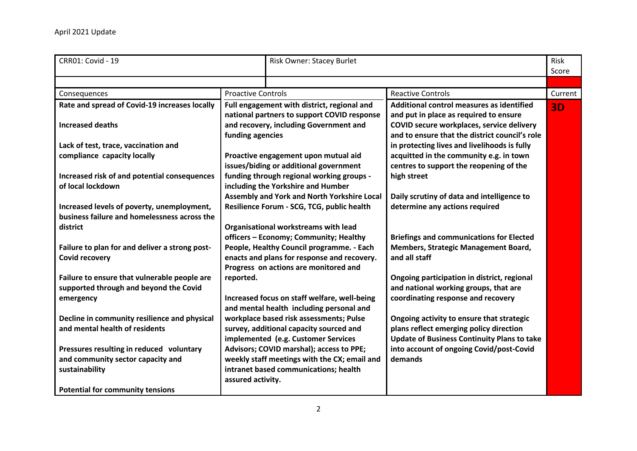| <b>CRR01: Covid - 19</b>                                                                                                                   |                           | Risk Owner: Stacey Burlet                                                                                                              |                                                                                                                                                                                    | Risk<br>Score |
|--------------------------------------------------------------------------------------------------------------------------------------------|---------------------------|----------------------------------------------------------------------------------------------------------------------------------------|------------------------------------------------------------------------------------------------------------------------------------------------------------------------------------|---------------|
|                                                                                                                                            |                           |                                                                                                                                        |                                                                                                                                                                                    |               |
| Consequences                                                                                                                               | <b>Proactive Controls</b> |                                                                                                                                        | <b>Reactive Controls</b>                                                                                                                                                           | Current       |
| Rate and spread of Covid-19 increases locally<br><b>Increased deaths</b>                                                                   | funding agencies          | Full engagement with district, regional and<br>national partners to support COVID response<br>and recovery, including Government and   | Additional control measures as identified<br>and put in place as required to ensure<br>COVID secure workplaces, service delivery<br>and to ensure that the district council's role | 3D            |
| Lack of test, trace, vaccination and<br>compliance capacity locally<br>Increased risk of and potential consequences                        |                           | Proactive engagement upon mutual aid<br>issues/biding or additional government<br>funding through regional working groups -            | in protecting lives and livelihoods is fully<br>acquitted in the community e.g. in town<br>centres to support the reopening of the<br>high street                                  |               |
| of local lockdown<br>Increased levels of poverty, unemployment,                                                                            |                           | including the Yorkshire and Humber<br><b>Assembly and York and North Yorkshire Local</b><br>Resilience Forum - SCG, TCG, public health | Daily scrutiny of data and intelligence to<br>determine any actions required                                                                                                       |               |
| business failure and homelessness across the<br>district                                                                                   |                           | Organisational workstreams with lead<br>officers - Economy; Community; Healthy                                                         | <b>Briefings and communications for Elected</b>                                                                                                                                    |               |
| Failure to plan for and deliver a strong post-<br><b>Covid recovery</b>                                                                    |                           | People, Healthy Council programme. - Each<br>enacts and plans for response and recovery.<br>Progress on actions are monitored and      | Members, Strategic Management Board,<br>and all staff                                                                                                                              |               |
| Failure to ensure that vulnerable people are<br>supported through and beyond the Covid<br>emergency                                        | reported.                 | Increased focus on staff welfare, well-being<br>and mental health including personal and                                               | Ongoing participation in district, regional<br>and national working groups, that are<br>coordinating response and recovery                                                         |               |
| Decline in community resilience and physical<br>and mental health of residents                                                             |                           | workplace based risk assessments; Pulse<br>survey, additional capacity sourced and<br>implemented (e.g. Customer Services              | Ongoing activity to ensure that strategic<br>plans reflect emerging policy direction<br><b>Update of Business Continuity Plans to take</b>                                         |               |
| Pressures resulting in reduced voluntary<br>and community sector capacity and<br>sustainability<br><b>Potential for community tensions</b> | assured activity.         | Advisors; COVID marshal); access to PPE;<br>weekly staff meetings with the CX; email and<br>intranet based communications; health      | into account of ongoing Covid/post-Covid<br>demands                                                                                                                                |               |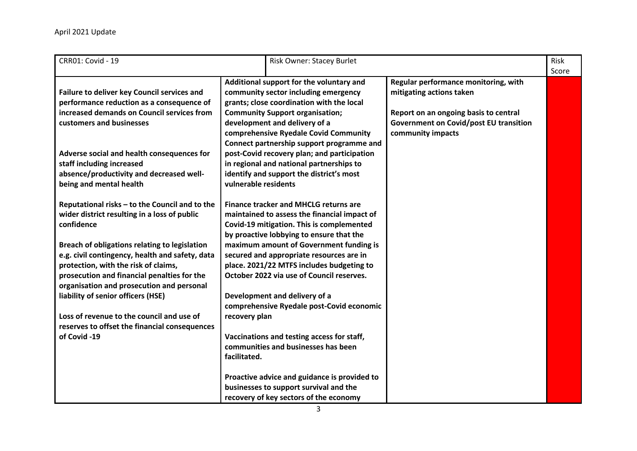| <b>CRR01: Covid - 19</b>                                                                                                                                                                                                             | <b>Risk Owner: Stacey Burlet</b>                                                                                                                                                                                                                                                                                                                                                                                                                                                                                                 | Risk<br>Score |
|--------------------------------------------------------------------------------------------------------------------------------------------------------------------------------------------------------------------------------------|----------------------------------------------------------------------------------------------------------------------------------------------------------------------------------------------------------------------------------------------------------------------------------------------------------------------------------------------------------------------------------------------------------------------------------------------------------------------------------------------------------------------------------|---------------|
| Failure to deliver key Council services and<br>performance reduction as a consequence of<br>increased demands on Council services from<br>customers and businesses<br>Adverse social and health consequences for                     | Additional support for the voluntary and<br>Regular performance monitoring, with<br>community sector including emergency<br>mitigating actions taken<br>grants; close coordination with the local<br><b>Community Support organisation;</b><br>Report on an ongoing basis to central<br>development and delivery of a<br><b>Government on Covid/post EU transition</b><br>community impacts<br>comprehensive Ryedale Covid Community<br>Connect partnership support programme and<br>post-Covid recovery plan; and participation |               |
| staff including increased<br>absence/productivity and decreased well-<br>being and mental health                                                                                                                                     | in regional and national partnerships to<br>identify and support the district's most<br>vulnerable residents                                                                                                                                                                                                                                                                                                                                                                                                                     |               |
| Reputational risks - to the Council and to the<br>wider district resulting in a loss of public<br>confidence                                                                                                                         | <b>Finance tracker and MHCLG returns are</b><br>maintained to assess the financial impact of<br>Covid-19 mitigation. This is complemented<br>by proactive lobbying to ensure that the                                                                                                                                                                                                                                                                                                                                            |               |
| Breach of obligations relating to legislation<br>e.g. civil contingency, health and safety, data<br>protection, with the risk of claims,<br>prosecution and financial penalties for the<br>organisation and prosecution and personal | maximum amount of Government funding is<br>secured and appropriate resources are in<br>place. 2021/22 MTFS includes budgeting to<br>October 2022 via use of Council reserves.                                                                                                                                                                                                                                                                                                                                                    |               |
| liability of senior officers (HSE)<br>Loss of revenue to the council and use of<br>reserves to offset the financial consequences                                                                                                     | Development and delivery of a<br>comprehensive Ryedale post-Covid economic<br>recovery plan                                                                                                                                                                                                                                                                                                                                                                                                                                      |               |
| of Covid -19                                                                                                                                                                                                                         | Vaccinations and testing access for staff,<br>communities and businesses has been<br>facilitated.                                                                                                                                                                                                                                                                                                                                                                                                                                |               |
|                                                                                                                                                                                                                                      | Proactive advice and guidance is provided to<br>businesses to support survival and the<br>recovery of key sectors of the economy                                                                                                                                                                                                                                                                                                                                                                                                 |               |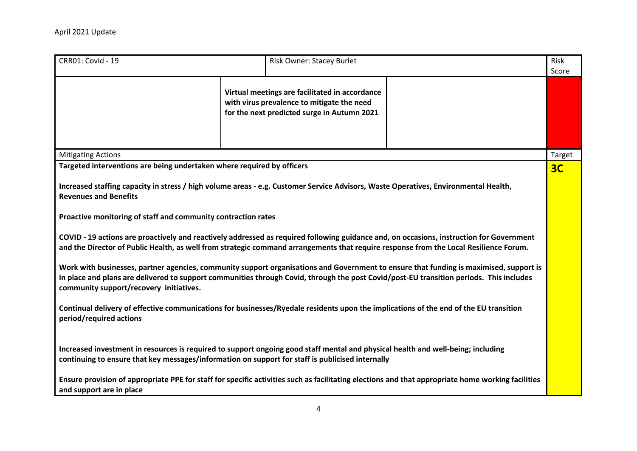| <b>CRR01: Covid - 19</b>                                                                                                                                                                                                                                                                                                                                                                                                                                                                                                                                                                                                                                                                                                                                                                                                                                                                                                                                                                           | Risk Owner: Stacey Burlet                                                                                                                                                                                                                                                                                                                                                                 |  | Risk<br>Score  |
|----------------------------------------------------------------------------------------------------------------------------------------------------------------------------------------------------------------------------------------------------------------------------------------------------------------------------------------------------------------------------------------------------------------------------------------------------------------------------------------------------------------------------------------------------------------------------------------------------------------------------------------------------------------------------------------------------------------------------------------------------------------------------------------------------------------------------------------------------------------------------------------------------------------------------------------------------------------------------------------------------|-------------------------------------------------------------------------------------------------------------------------------------------------------------------------------------------------------------------------------------------------------------------------------------------------------------------------------------------------------------------------------------------|--|----------------|
|                                                                                                                                                                                                                                                                                                                                                                                                                                                                                                                                                                                                                                                                                                                                                                                                                                                                                                                                                                                                    | Virtual meetings are facilitated in accordance<br>with virus prevalence to mitigate the need<br>for the next predicted surge in Autumn 2021                                                                                                                                                                                                                                               |  |                |
| <b>Mitigating Actions</b>                                                                                                                                                                                                                                                                                                                                                                                                                                                                                                                                                                                                                                                                                                                                                                                                                                                                                                                                                                          |                                                                                                                                                                                                                                                                                                                                                                                           |  | Target         |
| Targeted interventions are being undertaken where required by officers                                                                                                                                                                                                                                                                                                                                                                                                                                                                                                                                                                                                                                                                                                                                                                                                                                                                                                                             |                                                                                                                                                                                                                                                                                                                                                                                           |  | 3 <sub>C</sub> |
| Increased staffing capacity in stress / high volume areas - e.g. Customer Service Advisors, Waste Operatives, Environmental Health,<br><b>Revenues and Benefits</b><br>Proactive monitoring of staff and community contraction rates<br>COVID - 19 actions are proactively and reactively addressed as required following guidance and, on occasions, instruction for Government<br>and the Director of Public Health, as well from strategic command arrangements that require response from the Local Resilience Forum.<br>Work with businesses, partner agencies, community support organisations and Government to ensure that funding is maximised, support is<br>in place and plans are delivered to support communities through Covid, through the post Covid/post-EU transition periods. This includes<br>community support/recovery initiatives.<br>Continual delivery of effective communications for businesses/Ryedale residents upon the implications of the end of the EU transition |                                                                                                                                                                                                                                                                                                                                                                                           |  |                |
| period/required actions<br>and support are in place                                                                                                                                                                                                                                                                                                                                                                                                                                                                                                                                                                                                                                                                                                                                                                                                                                                                                                                                                | Increased investment in resources is required to support ongoing good staff mental and physical health and well-being; including<br>continuing to ensure that key messages/information on support for staff is publicised internally<br>Ensure provision of appropriate PPE for staff for specific activities such as facilitating elections and that appropriate home working facilities |  |                |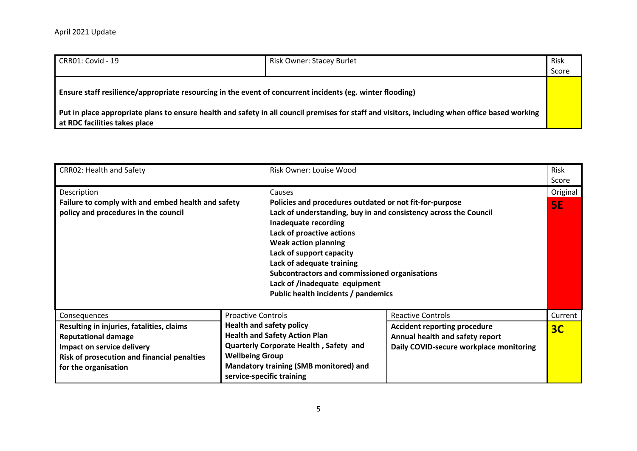|                                                                                                                                            |                                                                                                                                                | Risk<br>Score |
|--------------------------------------------------------------------------------------------------------------------------------------------|------------------------------------------------------------------------------------------------------------------------------------------------|---------------|
| Ensure staff resilience/appropriate resourcing in the event of concurrent incidents (eg. winter flooding)<br>at RDC facilities takes place | Put in place appropriate plans to ensure health and safety in all council premises for staff and visitors, including when office based working |               |

| <b>CRR02: Health and Safety</b>                                                                                                                                                                     |                                                     | Risk Owner: Louise Wood                                                                                                                                                                                                                                                                                                                                                                                     |                                                                                                                                               | <b>Risk</b><br>Score  |
|-----------------------------------------------------------------------------------------------------------------------------------------------------------------------------------------------------|-----------------------------------------------------|-------------------------------------------------------------------------------------------------------------------------------------------------------------------------------------------------------------------------------------------------------------------------------------------------------------------------------------------------------------------------------------------------------------|-----------------------------------------------------------------------------------------------------------------------------------------------|-----------------------|
| Description<br>Failure to comply with and embed health and safety<br>policy and procedures in the council                                                                                           |                                                     | Causes<br>Policies and procedures outdated or not fit-for-purpose<br>Lack of understanding, buy in and consistency across the Council<br>Inadequate recording<br>Lack of proactive actions<br><b>Weak action planning</b><br>Lack of support capacity<br>Lack of adequate training<br>Subcontractors and commissioned organisations<br>Lack of /inadequate equipment<br>Public health incidents / pandemics |                                                                                                                                               | Original<br><b>SE</b> |
| Consequences<br>Resulting in injuries, fatalities, claims<br><b>Reputational damage</b><br>Impact on service delivery<br><b>Risk of prosecution and financial penalties</b><br>for the organisation | <b>Proactive Controls</b><br><b>Wellbeing Group</b> | <b>Health and safety policy</b><br><b>Health and Safety Action Plan</b><br>Quarterly Corporate Health, Safety and<br>Mandatory training (SMB monitored) and<br>service-specific training                                                                                                                                                                                                                    | <b>Reactive Controls</b><br><b>Accident reporting procedure</b><br>Annual health and safety report<br>Daily COVID-secure workplace monitoring | Current<br>3C         |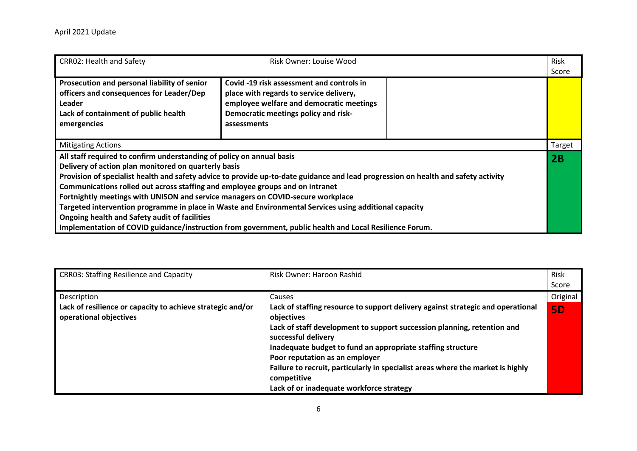| <b>CRRO2: Health and Safety</b>                                                                                                                                                                                                                                                                                                                                                                                                                                                                                                                                                                                                                                                                               | Risk Owner: Louise Wood                                                                                                                                                                 | Risk<br>Score |
|---------------------------------------------------------------------------------------------------------------------------------------------------------------------------------------------------------------------------------------------------------------------------------------------------------------------------------------------------------------------------------------------------------------------------------------------------------------------------------------------------------------------------------------------------------------------------------------------------------------------------------------------------------------------------------------------------------------|-----------------------------------------------------------------------------------------------------------------------------------------------------------------------------------------|---------------|
| Prosecution and personal liability of senior<br>officers and consequences for Leader/Dep<br><b>Leader</b><br>Lack of containment of public health<br>emergencies                                                                                                                                                                                                                                                                                                                                                                                                                                                                                                                                              | Covid -19 risk assessment and controls in<br>place with regards to service delivery,<br>employee welfare and democratic meetings<br>Democratic meetings policy and risk-<br>assessments |               |
| <b>Mitigating Actions</b>                                                                                                                                                                                                                                                                                                                                                                                                                                                                                                                                                                                                                                                                                     |                                                                                                                                                                                         | Target        |
| All staff required to confirm understanding of policy on annual basis<br>Delivery of action plan monitored on quarterly basis<br>Provision of specialist health and safety advice to provide up-to-date guidance and lead progression on health and safety activity<br>Communications rolled out across staffing and employee groups and on intranet<br>Fortnightly meetings with UNISON and service managers on COVID-secure workplace<br>Targeted intervention programme in place in Waste and Environmental Services using additional capacity<br>Ongoing health and Safety audit of facilities<br>Implementation of COVID guidance/instruction from government, public health and Local Resilience Forum. |                                                                                                                                                                                         | 2B            |

| <b>CRR03: Staffing Resilience and Capacity</b>                                       | Risk Owner: Haroon Rashid                                                                                                                                                | Risk      |
|--------------------------------------------------------------------------------------|--------------------------------------------------------------------------------------------------------------------------------------------------------------------------|-----------|
|                                                                                      |                                                                                                                                                                          | Score     |
| Description                                                                          | Causes                                                                                                                                                                   | Original  |
| Lack of resilience or capacity to achieve strategic and/or<br>operational objectives | Lack of staffing resource to support delivery against strategic and operational<br>objectives<br>Lack of staff development to support succession planning, retention and | <b>5D</b> |
|                                                                                      | successful delivery<br>Inadequate budget to fund an appropriate staffing structure<br>Poor reputation as an employer                                                     |           |
|                                                                                      | Failure to recruit, particularly in specialist areas where the market is highly<br>competitive<br>Lack of or inadequate workforce strategy                               |           |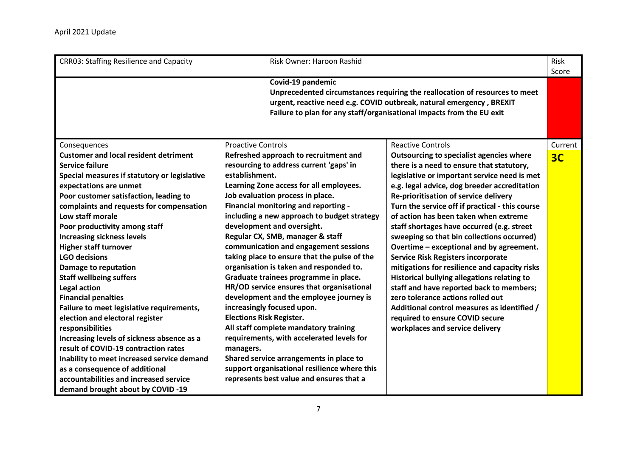| <b>CRR03: Staffing Resilience and Capacity</b>                                                                                                                                                                                                                                                                                                                                                                                                                                                                                                                                                                                                                                                                                                                                                                                                                            | Risk Owner: Haroon Rashid                                                                                                                                                                                                                                                                                                                                                                                                                                                                                                                                                                                                                                                                                                                                                                                                                                                                                                                               |                                                                                                                                                                                                                                                                                                                                                                                                                                                                                                                                                                                                                                                                                                                                                                                                                                                          | Risk<br>Score             |
|---------------------------------------------------------------------------------------------------------------------------------------------------------------------------------------------------------------------------------------------------------------------------------------------------------------------------------------------------------------------------------------------------------------------------------------------------------------------------------------------------------------------------------------------------------------------------------------------------------------------------------------------------------------------------------------------------------------------------------------------------------------------------------------------------------------------------------------------------------------------------|---------------------------------------------------------------------------------------------------------------------------------------------------------------------------------------------------------------------------------------------------------------------------------------------------------------------------------------------------------------------------------------------------------------------------------------------------------------------------------------------------------------------------------------------------------------------------------------------------------------------------------------------------------------------------------------------------------------------------------------------------------------------------------------------------------------------------------------------------------------------------------------------------------------------------------------------------------|----------------------------------------------------------------------------------------------------------------------------------------------------------------------------------------------------------------------------------------------------------------------------------------------------------------------------------------------------------------------------------------------------------------------------------------------------------------------------------------------------------------------------------------------------------------------------------------------------------------------------------------------------------------------------------------------------------------------------------------------------------------------------------------------------------------------------------------------------------|---------------------------|
|                                                                                                                                                                                                                                                                                                                                                                                                                                                                                                                                                                                                                                                                                                                                                                                                                                                                           | Covid-19 pandemic                                                                                                                                                                                                                                                                                                                                                                                                                                                                                                                                                                                                                                                                                                                                                                                                                                                                                                                                       | Unprecedented circumstances requiring the reallocation of resources to meet<br>urgent, reactive need e.g. COVID outbreak, natural emergency, BREXIT<br>Failure to plan for any staff/organisational impacts from the EU exit                                                                                                                                                                                                                                                                                                                                                                                                                                                                                                                                                                                                                             |                           |
| Consequences<br><b>Customer and local resident detriment</b><br><b>Service failure</b><br>Special measures if statutory or legislative<br>expectations are unmet<br>Poor customer satisfaction, leading to<br>complaints and requests for compensation<br>Low staff morale<br>Poor productivity among staff<br><b>Increasing sickness levels</b><br><b>Higher staff turnover</b><br><b>LGO decisions</b><br>Damage to reputation<br><b>Staff wellbeing suffers</b><br>Legal action<br><b>Financial penalties</b><br>Failure to meet legislative requirements,<br>election and electoral register<br>responsibilities<br>Increasing levels of sickness absence as a<br>result of COVID-19 contraction rates<br>Inability to meet increased service demand<br>as a consequence of additional<br>accountabilities and increased service<br>demand brought about by COVID -19 | <b>Proactive Controls</b><br>Refreshed approach to recruitment and<br>resourcing to address current 'gaps' in<br>establishment.<br>Learning Zone access for all employees.<br>Job evaluation process in place.<br>Financial monitoring and reporting -<br>including a new approach to budget strategy<br>development and oversight.<br>Regular CX, SMB, manager & staff<br>communication and engagement sessions<br>taking place to ensure that the pulse of the<br>organisation is taken and responded to.<br>Graduate trainees programme in place.<br>HR/OD service ensures that organisational<br>development and the employee journey is<br>increasingly focused upon.<br><b>Elections Risk Register.</b><br>All staff complete mandatory training<br>requirements, with accelerated levels for<br>managers.<br>Shared service arrangements in place to<br>support organisational resilience where this<br>represents best value and ensures that a | <b>Reactive Controls</b><br><b>Outsourcing to specialist agencies where</b><br>there is a need to ensure that statutory,<br>legislative or important service need is met<br>e.g. legal advice, dog breeder accreditation<br>Re-prioritisation of service delivery<br>Turn the service off if practical - this course<br>of action has been taken when extreme<br>staff shortages have occurred (e.g. street<br>sweeping so that bin collections occurred)<br>Overtime - exceptional and by agreement.<br><b>Service Risk Registers incorporate</b><br>mitigations for resilience and capacity risks<br>Historical bullying allegations relating to<br>staff and have reported back to members;<br>zero tolerance actions rolled out<br>Additional control measures as identified /<br>required to ensure COVID secure<br>workplaces and service delivery | Current<br>3 <sub>C</sub> |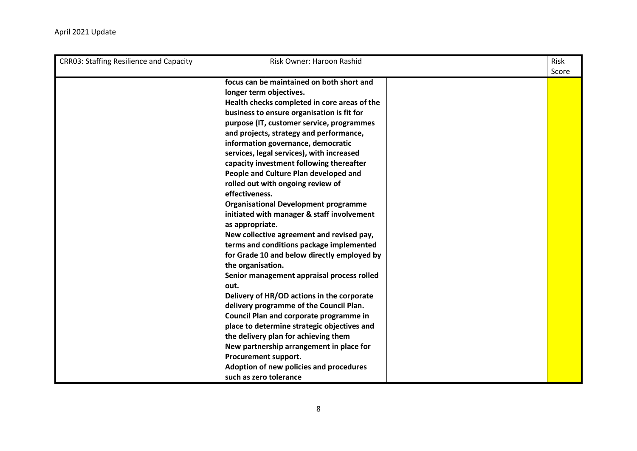| <b>CRR03: Staffing Resilience and Capacity</b> | Risk Owner: Haroon Rashid                                                                                                                                                                                                                                                                                                                                                                                                                                                                                                                                                                                                                                                                                                                                                                                                                                                                                                                                                                                                                                                                                                                                              | Risk<br>Score |
|------------------------------------------------|------------------------------------------------------------------------------------------------------------------------------------------------------------------------------------------------------------------------------------------------------------------------------------------------------------------------------------------------------------------------------------------------------------------------------------------------------------------------------------------------------------------------------------------------------------------------------------------------------------------------------------------------------------------------------------------------------------------------------------------------------------------------------------------------------------------------------------------------------------------------------------------------------------------------------------------------------------------------------------------------------------------------------------------------------------------------------------------------------------------------------------------------------------------------|---------------|
|                                                | focus can be maintained on both short and<br>longer term objectives.<br>Health checks completed in core areas of the<br>business to ensure organisation is fit for<br>purpose (IT, customer service, programmes<br>and projects, strategy and performance,<br>information governance, democratic<br>services, legal services), with increased<br>capacity investment following thereafter<br>People and Culture Plan developed and<br>rolled out with ongoing review of<br>effectiveness.<br><b>Organisational Development programme</b><br>initiated with manager & staff involvement<br>as appropriate.<br>New collective agreement and revised pay,<br>terms and conditions package implemented<br>for Grade 10 and below directly employed by<br>the organisation.<br>Senior management appraisal process rolled<br>out.<br>Delivery of HR/OD actions in the corporate<br>delivery programme of the Council Plan.<br>Council Plan and corporate programme in<br>place to determine strategic objectives and<br>the delivery plan for achieving them<br>New partnership arrangement in place for<br>Procurement support.<br>Adoption of new policies and procedures |               |
|                                                | such as zero tolerance                                                                                                                                                                                                                                                                                                                                                                                                                                                                                                                                                                                                                                                                                                                                                                                                                                                                                                                                                                                                                                                                                                                                                 |               |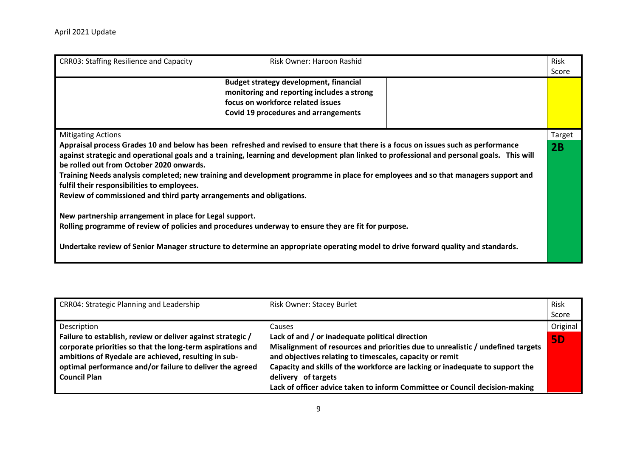| <b>CRR03: Staffing Resilience and Capacity</b>                                                                                                                                                                                                                                                        | Risk Owner: Haroon Rashid                                                                                                                                                |                                                                                                                                                                                                                                                                                 | Risk<br>Score |
|-------------------------------------------------------------------------------------------------------------------------------------------------------------------------------------------------------------------------------------------------------------------------------------------------------|--------------------------------------------------------------------------------------------------------------------------------------------------------------------------|---------------------------------------------------------------------------------------------------------------------------------------------------------------------------------------------------------------------------------------------------------------------------------|---------------|
|                                                                                                                                                                                                                                                                                                       | Budget strategy development, financial<br>monitoring and reporting includes a strong<br>focus on workforce related issues<br><b>Covid 19 procedures and arrangements</b> |                                                                                                                                                                                                                                                                                 |               |
| <b>Mitigating Actions</b>                                                                                                                                                                                                                                                                             |                                                                                                                                                                          |                                                                                                                                                                                                                                                                                 | Target        |
| Appraisal process Grades 10 and below has been refreshed and revised to ensure that there is a focus on issues such as performance<br>be rolled out from October 2020 onwards.<br>fulfil their responsibilities to employees.<br>Review of commissioned and third party arrangements and obligations. |                                                                                                                                                                          | against strategic and operational goals and a training, learning and development plan linked to professional and personal goals. This will<br>Training Needs analysis completed; new training and development programme in place for employees and so that managers support and | 2B            |
| New partnership arrangement in place for Legal support.<br>Rolling programme of review of policies and procedures underway to ensure they are fit for purpose.                                                                                                                                        |                                                                                                                                                                          |                                                                                                                                                                                                                                                                                 |               |
| Undertake review of Senior Manager structure to determine an appropriate operating model to drive forward quality and standards.                                                                                                                                                                      |                                                                                                                                                                          |                                                                                                                                                                                                                                                                                 |               |

| <b>CRR04: Strategic Planning and Leadership</b>                                                                                                                                                                                                                      | Risk Owner: Stacey Burlet                                                                                                                                                                                                                                                                                                                                                             | <b>Risk</b><br>Score |
|----------------------------------------------------------------------------------------------------------------------------------------------------------------------------------------------------------------------------------------------------------------------|---------------------------------------------------------------------------------------------------------------------------------------------------------------------------------------------------------------------------------------------------------------------------------------------------------------------------------------------------------------------------------------|----------------------|
| Description                                                                                                                                                                                                                                                          | Causes                                                                                                                                                                                                                                                                                                                                                                                | Original             |
| Failure to establish, review or deliver against strategic /<br>corporate priorities so that the long-term aspirations and<br>ambitions of Ryedale are achieved, resulting in sub-<br>optimal performance and/or failure to deliver the agreed<br><b>Council Plan</b> | Lack of and / or inadequate political direction<br>Misalignment of resources and priorities due to unrealistic / undefined targets<br>and objectives relating to timescales, capacity or remit<br>Capacity and skills of the workforce are lacking or inadequate to support the<br>delivery of targets<br>Lack of officer advice taken to inform Committee or Council decision-making | <b>5D</b>            |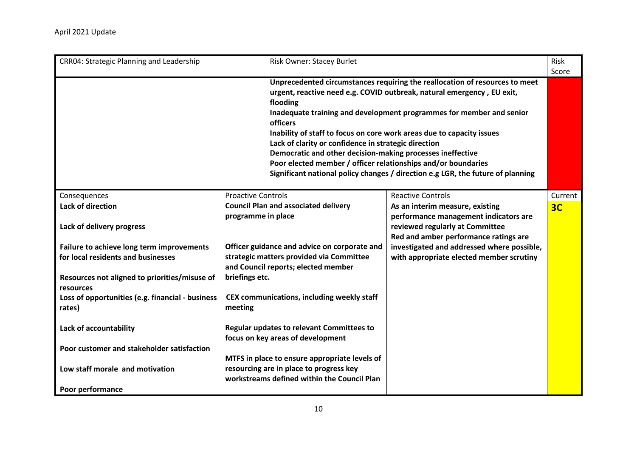| CRR04: Strategic Planning and Leadership                   |                                                                                | Risk Owner: Stacey Burlet                                                                                                                                                                                                                                                                   |                                                                                                                                                                                                                                                                                                                  | Risk<br>Score  |
|------------------------------------------------------------|--------------------------------------------------------------------------------|---------------------------------------------------------------------------------------------------------------------------------------------------------------------------------------------------------------------------------------------------------------------------------------------|------------------------------------------------------------------------------------------------------------------------------------------------------------------------------------------------------------------------------------------------------------------------------------------------------------------|----------------|
|                                                            |                                                                                | flooding<br><b>officers</b><br>Inability of staff to focus on core work areas due to capacity issues<br>Lack of clarity or confidence in strategic direction<br>Democratic and other decision-making processes ineffective<br>Poor elected member / officer relationships and/or boundaries | Unprecedented circumstances requiring the reallocation of resources to meet<br>urgent, reactive need e.g. COVID outbreak, natural emergency, EU exit,<br>Inadequate training and development programmes for member and senior<br>Significant national policy changes / direction e.g LGR, the future of planning |                |
| Consequences                                               | <b>Proactive Controls</b>                                                      |                                                                                                                                                                                                                                                                                             | <b>Reactive Controls</b>                                                                                                                                                                                                                                                                                         | Current        |
| <b>Lack of direction</b>                                   | programme in place                                                             | <b>Council Plan and associated delivery</b>                                                                                                                                                                                                                                                 | As an interim measure, existing<br>performance management indicators are                                                                                                                                                                                                                                         | 3 <sub>C</sub> |
| Lack of delivery progress                                  |                                                                                |                                                                                                                                                                                                                                                                                             | reviewed regularly at Committee<br>Red and amber performance ratings are                                                                                                                                                                                                                                         |                |
| Failure to achieve long term improvements                  |                                                                                | Officer guidance and advice on corporate and                                                                                                                                                                                                                                                | investigated and addressed where possible,                                                                                                                                                                                                                                                                       |                |
| for local residents and businesses                         |                                                                                | strategic matters provided via Committee<br>and Council reports; elected member                                                                                                                                                                                                             | with appropriate elected member scrutiny                                                                                                                                                                                                                                                                         |                |
| Resources not aligned to priorities/misuse of<br>resources | briefings etc.                                                                 |                                                                                                                                                                                                                                                                                             |                                                                                                                                                                                                                                                                                                                  |                |
| Loss of opportunities (e.g. financial - business<br>rates) | CEX communications, including weekly staff<br>meeting                          |                                                                                                                                                                                                                                                                                             |                                                                                                                                                                                                                                                                                                                  |                |
| Lack of accountability                                     | Regular updates to relevant Committees to<br>focus on key areas of development |                                                                                                                                                                                                                                                                                             |                                                                                                                                                                                                                                                                                                                  |                |
| Poor customer and stakeholder satisfaction                 |                                                                                |                                                                                                                                                                                                                                                                                             |                                                                                                                                                                                                                                                                                                                  |                |
|                                                            |                                                                                | MTFS in place to ensure appropriate levels of                                                                                                                                                                                                                                               |                                                                                                                                                                                                                                                                                                                  |                |
| Low staff morale and motivation                            |                                                                                | resourcing are in place to progress key                                                                                                                                                                                                                                                     |                                                                                                                                                                                                                                                                                                                  |                |
| Poor performance                                           |                                                                                | workstreams defined within the Council Plan                                                                                                                                                                                                                                                 |                                                                                                                                                                                                                                                                                                                  |                |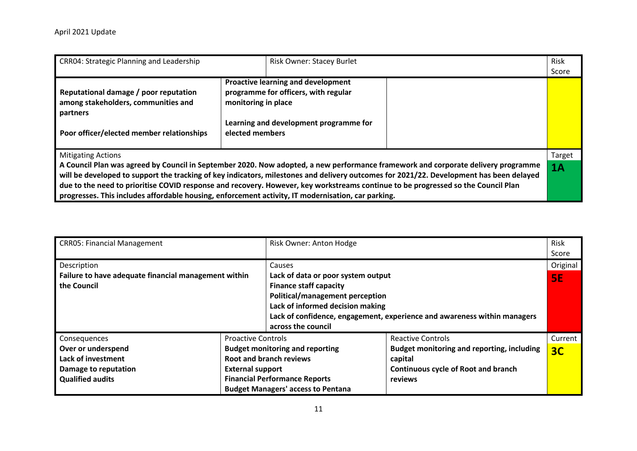| CRR04: Strategic Planning and Leadership                                                                                              | <b>Risk Owner: Stacey Burlet</b>                                                                                                                                                                                                                                                                                                                                                                                                                                                                                        | Risk<br>Score |
|---------------------------------------------------------------------------------------------------------------------------------------|-------------------------------------------------------------------------------------------------------------------------------------------------------------------------------------------------------------------------------------------------------------------------------------------------------------------------------------------------------------------------------------------------------------------------------------------------------------------------------------------------------------------------|---------------|
| Reputational damage / poor reputation<br>among stakeholders, communities and<br>partners<br>Poor officer/elected member relationships | <b>Proactive learning and development</b><br>programme for officers, with regular<br>monitoring in place<br>Learning and development programme for<br>elected members                                                                                                                                                                                                                                                                                                                                                   |               |
| <b>Mitigating Actions</b>                                                                                                             | A Council Plan was agreed by Council in September 2020. Now adopted, a new performance framework and corporate delivery programme<br>will be developed to support the tracking of key indicators, milestones and delivery outcomes for 2021/22. Development has been delayed<br>due to the need to prioritise COVID response and recovery. However, key workstreams continue to be progressed so the Council Plan<br>progresses. This includes affordable housing, enforcement activity, IT modernisation, car parking. | Target<br>1A  |

| <b>CRR05: Financial Management</b>                   |                           | Risk Owner: Anton Hodge                   |                                                                          | Risk<br>Score  |
|------------------------------------------------------|---------------------------|-------------------------------------------|--------------------------------------------------------------------------|----------------|
| Description                                          |                           | Causes                                    |                                                                          | Original       |
| Failure to have adequate financial management within |                           | Lack of data or poor system output        |                                                                          | <b>5E</b>      |
| the Council                                          |                           | <b>Finance staff capacity</b>             |                                                                          |                |
|                                                      |                           | Political/management perception           |                                                                          |                |
|                                                      |                           | Lack of informed decision making          |                                                                          |                |
|                                                      |                           | across the council                        | Lack of confidence, engagement, experience and awareness within managers |                |
| Consequences                                         | <b>Proactive Controls</b> |                                           | <b>Reactive Controls</b>                                                 | Current        |
| Over or underspend                                   |                           | <b>Budget monitoring and reporting</b>    | <b>Budget monitoring and reporting, including</b>                        | 3 <sub>C</sub> |
| Lack of investment                                   |                           | <b>Root and branch reviews</b>            | capital                                                                  |                |
| Damage to reputation                                 | <b>External support</b>   |                                           | <b>Continuous cycle of Root and branch</b>                               |                |
| <b>Qualified audits</b>                              |                           | <b>Financial Performance Reports</b>      | reviews                                                                  |                |
|                                                      |                           | <b>Budget Managers' access to Pentana</b> |                                                                          |                |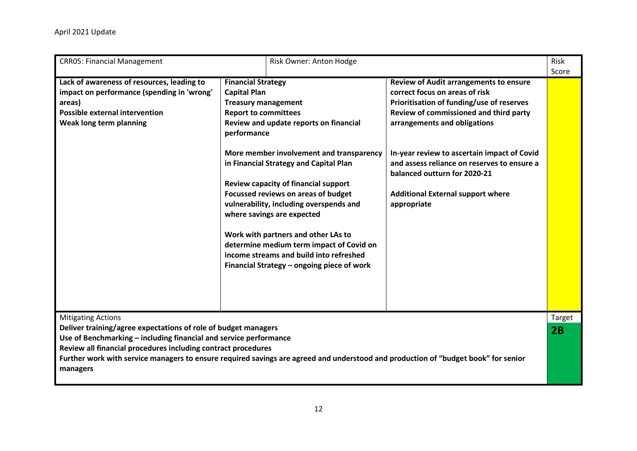| <b>CRR05: Financial Management</b>                                                                                                                                                                                                                                                                                                                                                  |                                                                                                                              | Risk Owner: Anton Hodge                                                                                                                                                                                                                                                                                                                                                                                                                                          |                                                                                                                                                                                                                                                                                                                                                                                                 | Risk<br>Score       |
|-------------------------------------------------------------------------------------------------------------------------------------------------------------------------------------------------------------------------------------------------------------------------------------------------------------------------------------------------------------------------------------|------------------------------------------------------------------------------------------------------------------------------|------------------------------------------------------------------------------------------------------------------------------------------------------------------------------------------------------------------------------------------------------------------------------------------------------------------------------------------------------------------------------------------------------------------------------------------------------------------|-------------------------------------------------------------------------------------------------------------------------------------------------------------------------------------------------------------------------------------------------------------------------------------------------------------------------------------------------------------------------------------------------|---------------------|
| Lack of awareness of resources, leading to<br>impact on performance (spending in 'wrong'<br>areas)<br><b>Possible external intervention</b><br>Weak long term planning                                                                                                                                                                                                              | <b>Financial Strategy</b><br><b>Capital Plan</b><br><b>Treasury management</b><br><b>Report to committees</b><br>performance | Review and update reports on financial<br>More member involvement and transparency<br>in Financial Strategy and Capital Plan<br>Review capacity of financial support<br>Focussed reviews on areas of budget<br>vulnerability, including overspends and<br>where savings are expected<br>Work with partners and other LAs to<br>determine medium term impact of Covid on<br>income streams and build into refreshed<br>Financial Strategy - ongoing piece of work | <b>Review of Audit arrangements to ensure</b><br>correct focus on areas of risk<br>Prioritisation of funding/use of reserves<br>Review of commissioned and third party<br>arrangements and obligations<br>In-year review to ascertain impact of Covid<br>and assess reliance on reserves to ensure a<br>balanced outturn for 2020-21<br><b>Additional External support where</b><br>appropriate |                     |
| <b>Mitigating Actions</b><br>Deliver training/agree expectations of role of budget managers<br>Use of Benchmarking - including financial and service performance<br>Review all financial procedures including contract procedures<br>Further work with service managers to ensure required savings are agreed and understood and production of "budget book" for senior<br>managers |                                                                                                                              |                                                                                                                                                                                                                                                                                                                                                                                                                                                                  |                                                                                                                                                                                                                                                                                                                                                                                                 | <b>Target</b><br>2B |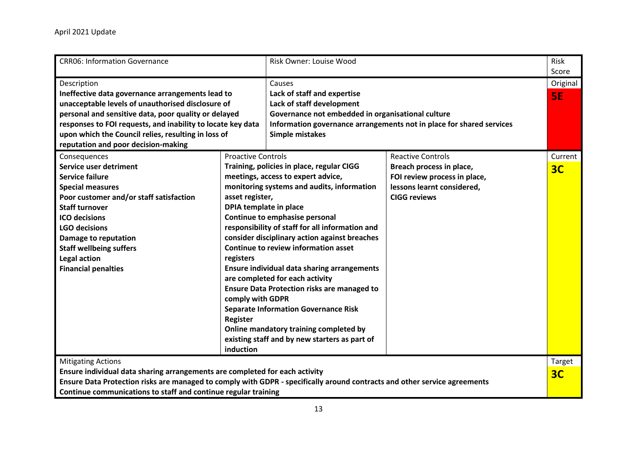| <b>CRR06: Information Governance</b>                                                                                      |                                               | Risk Owner: Louise Wood                            |                                                                      | Risk<br>Score  |
|---------------------------------------------------------------------------------------------------------------------------|-----------------------------------------------|----------------------------------------------------|----------------------------------------------------------------------|----------------|
| Description<br>Ineffective data governance arrangements lead to                                                           |                                               | Causes<br>Lack of staff and expertise              |                                                                      | Original       |
| unacceptable levels of unauthorised disclosure of                                                                         |                                               | Lack of staff development                          |                                                                      | <b>5E</b>      |
| personal and sensitive data, poor quality or delayed                                                                      |                                               | Governance not embedded in organisational culture  |                                                                      |                |
| responses to FOI requests, and inability to locate key data                                                               |                                               |                                                    | Information governance arrangements not in place for shared services |                |
| upon which the Council relies, resulting in loss of                                                                       |                                               | <b>Simple mistakes</b>                             |                                                                      |                |
| reputation and poor decision-making                                                                                       |                                               |                                                    |                                                                      |                |
| Consequences                                                                                                              | <b>Proactive Controls</b>                     |                                                    | <b>Reactive Controls</b>                                             | Current        |
| <b>Service user detriment</b>                                                                                             |                                               | Training, policies in place, regular CIGG          | Breach process in place,                                             | 3 <sub>C</sub> |
| <b>Service failure</b>                                                                                                    |                                               | meetings, access to expert advice,                 | FOI review process in place,                                         |                |
| <b>Special measures</b>                                                                                                   |                                               | monitoring systems and audits, information         | lessons learnt considered,                                           |                |
| Poor customer and/or staff satisfaction                                                                                   | asset register,                               |                                                    | <b>CIGG reviews</b>                                                  |                |
| <b>Staff turnover</b>                                                                                                     | DPIA template in place                        |                                                    |                                                                      |                |
| <b>ICO decisions</b>                                                                                                      |                                               | Continue to emphasise personal                     |                                                                      |                |
| <b>LGO decisions</b>                                                                                                      |                                               | responsibility of staff for all information and    |                                                                      |                |
| Damage to reputation                                                                                                      | consider disciplinary action against breaches |                                                    |                                                                      |                |
| <b>Staff wellbeing suffers</b>                                                                                            | <b>Continue to review information asset</b>   |                                                    |                                                                      |                |
| <b>Legal action</b>                                                                                                       | registers                                     |                                                    |                                                                      |                |
| <b>Financial penalties</b>                                                                                                |                                               | <b>Ensure individual data sharing arrangements</b> |                                                                      |                |
|                                                                                                                           |                                               | are completed for each activity                    |                                                                      |                |
|                                                                                                                           |                                               | <b>Ensure Data Protection risks are managed to</b> |                                                                      |                |
|                                                                                                                           | comply with GDPR                              |                                                    |                                                                      |                |
|                                                                                                                           |                                               | <b>Separate Information Governance Risk</b>        |                                                                      |                |
|                                                                                                                           | <b>Register</b>                               |                                                    |                                                                      |                |
|                                                                                                                           |                                               | Online mandatory training completed by             |                                                                      |                |
|                                                                                                                           |                                               | existing staff and by new starters as part of      |                                                                      |                |
|                                                                                                                           | induction                                     |                                                    |                                                                      |                |
| <b>Mitigating Actions</b>                                                                                                 |                                               |                                                    |                                                                      | Target         |
| Ensure individual data sharing arrangements are completed for each activity                                               |                                               |                                                    |                                                                      | 3 <sub>C</sub> |
| Ensure Data Protection risks are managed to comply with GDPR - specifically around contracts and other service agreements |                                               |                                                    |                                                                      |                |
| Continue communications to staff and continue regular training                                                            |                                               |                                                    |                                                                      |                |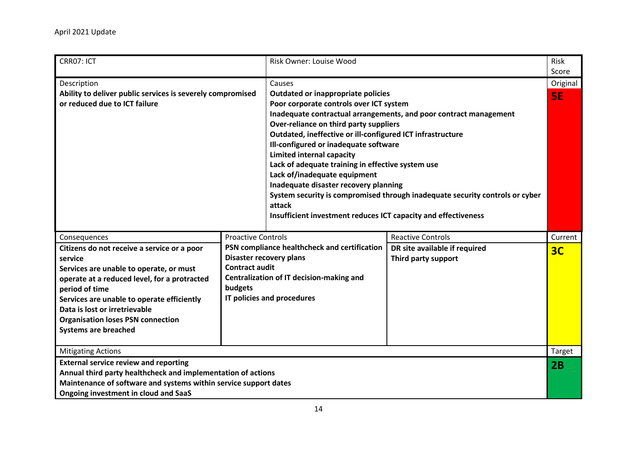| CRR07: ICT                                                                                                                                                                                                                                                                                                                                    |                                                               | <b>Risk Owner: Louise Wood</b>                                                                                                                                                                                                                                                                                                                                                                                                                                                         |                                                                                                                                                   | <b>Risk</b><br>Score  |
|-----------------------------------------------------------------------------------------------------------------------------------------------------------------------------------------------------------------------------------------------------------------------------------------------------------------------------------------------|---------------------------------------------------------------|----------------------------------------------------------------------------------------------------------------------------------------------------------------------------------------------------------------------------------------------------------------------------------------------------------------------------------------------------------------------------------------------------------------------------------------------------------------------------------------|---------------------------------------------------------------------------------------------------------------------------------------------------|-----------------------|
| Description<br>Ability to deliver public services is severely compromised<br>or reduced due to ICT failure                                                                                                                                                                                                                                    |                                                               | Causes<br>Outdated or inappropriate policies<br>Poor corporate controls over ICT system<br>Over-reliance on third party suppliers<br>Outdated, ineffective or ill-configured ICT infrastructure<br>Ill-configured or inadequate software<br><b>Limited internal capacity</b><br>Lack of adequate training in effective system use<br>Lack of/inadequate equipment<br>Inadequate disaster recovery planning<br>attack<br>Insufficient investment reduces ICT capacity and effectiveness | Inadequate contractual arrangements, and poor contract management<br>System security is compromised through inadequate security controls or cyber | Original<br><b>SE</b> |
| Consequences<br>Citizens do not receive a service or a poor<br>service<br>Services are unable to operate, or must<br>operate at a reduced level, for a protracted<br>period of time<br>Services are unable to operate efficiently<br>Data is lost or irretrievable<br><b>Organisation loses PSN connection</b><br><b>Systems are breached</b> | <b>Proactive Controls</b><br><b>Contract audit</b><br>budgets | PSN compliance healthcheck and certification<br>Disaster recovery plans<br>Centralization of IT decision-making and<br>IT policies and procedures                                                                                                                                                                                                                                                                                                                                      | <b>Reactive Controls</b><br>DR site available if required<br>Third party support                                                                  | Current<br>3C         |
| <b>Mitigating Actions</b>                                                                                                                                                                                                                                                                                                                     |                                                               |                                                                                                                                                                                                                                                                                                                                                                                                                                                                                        |                                                                                                                                                   | Target                |
| <b>External service review and reporting</b><br>Annual third party healthcheck and implementation of actions<br>Maintenance of software and systems within service support dates<br>Ongoing investment in cloud and SaaS                                                                                                                      |                                                               |                                                                                                                                                                                                                                                                                                                                                                                                                                                                                        |                                                                                                                                                   | 2B                    |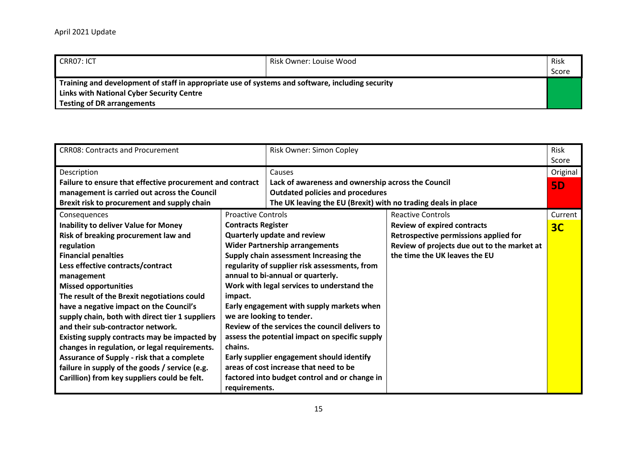| CRR07: ICT                                                                                       | Risk Owner: Louise Wood | Risk  |
|--------------------------------------------------------------------------------------------------|-------------------------|-------|
|                                                                                                  |                         | Score |
| Training and development of staff in appropriate use of systems and software, including security |                         |       |
| <b>Links with National Cyber Security Centre</b>                                                 |                         |       |
| <b>Testing of DR arrangements</b>                                                                |                         |       |

| <b>CRRO8: Contracts and Procurement</b>                   |                                            | Risk Owner: Simon Copley                                      |                                             | <b>Risk</b>    |
|-----------------------------------------------------------|--------------------------------------------|---------------------------------------------------------------|---------------------------------------------|----------------|
|                                                           |                                            |                                                               |                                             | Score          |
| Description                                               |                                            | Causes                                                        |                                             | Original       |
| Failure to ensure that effective procurement and contract |                                            | Lack of awareness and ownership across the Council            |                                             | <b>5D</b>      |
| management is carried out across the Council              |                                            | <b>Outdated policies and procedures</b>                       |                                             |                |
| Brexit risk to procurement and supply chain               |                                            | The UK leaving the EU (Brexit) with no trading deals in place |                                             |                |
| Consequences                                              | <b>Proactive Controls</b>                  |                                                               | <b>Reactive Controls</b>                    | Current        |
| Inability to deliver Value for Money                      | <b>Contracts Register</b>                  |                                                               | <b>Review of expired contracts</b>          | 3 <sub>C</sub> |
| Risk of breaking procurement law and                      |                                            | <b>Quarterly update and review</b>                            | Retrospective permissions applied for       |                |
| regulation                                                |                                            | <b>Wider Partnership arrangements</b>                         | Review of projects due out to the market at |                |
| <b>Financial penalties</b>                                |                                            | Supply chain assessment Increasing the                        | the time the UK leaves the EU               |                |
| Less effective contracts/contract                         |                                            | regularity of supplier risk assessments, from                 |                                             |                |
| management                                                | annual to bi-annual or quarterly.          |                                                               |                                             |                |
| <b>Missed opportunities</b>                               | Work with legal services to understand the |                                                               |                                             |                |
| The result of the Brexit negotiations could               | impact.                                    |                                                               |                                             |                |
| have a negative impact on the Council's                   | Early engagement with supply markets when  |                                                               |                                             |                |
| supply chain, both with direct tier 1 suppliers           |                                            | we are looking to tender.                                     |                                             |                |
| and their sub-contractor network.                         |                                            | Review of the services the council delivers to                |                                             |                |
| Existing supply contracts may be impacted by              |                                            | assess the potential impact on specific supply                |                                             |                |
| changes in regulation, or legal requirements.             | chains.                                    |                                                               |                                             |                |
| <b>Assurance of Supply - risk that a complete</b>         |                                            | Early supplier engagement should identify                     |                                             |                |
| failure in supply of the goods / service (e.g.            | areas of cost increase that need to be     |                                                               |                                             |                |
| Carillion) from key suppliers could be felt.              |                                            | factored into budget control and or change in                 |                                             |                |
|                                                           | requirements.                              |                                                               |                                             |                |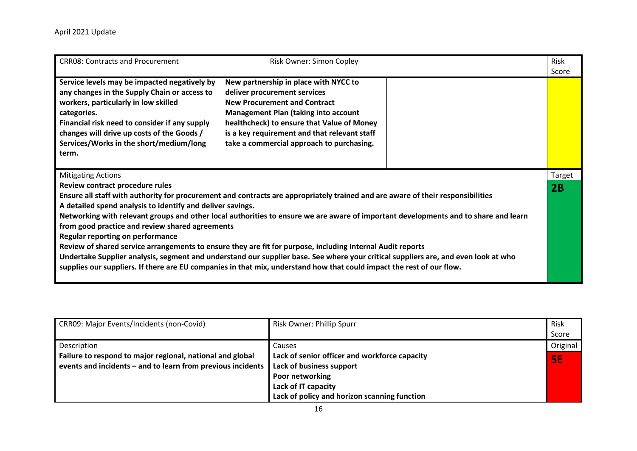| <b>CRR08: Contracts and Procurement</b>                                                                                                                                                                                                                                                                | Risk Owner: Simon Copley                                                                                                                                                                                                                                                                                                                                                                                                                                                                                                                                                                                                                            | Risk<br>Score |
|--------------------------------------------------------------------------------------------------------------------------------------------------------------------------------------------------------------------------------------------------------------------------------------------------------|-----------------------------------------------------------------------------------------------------------------------------------------------------------------------------------------------------------------------------------------------------------------------------------------------------------------------------------------------------------------------------------------------------------------------------------------------------------------------------------------------------------------------------------------------------------------------------------------------------------------------------------------------------|---------------|
| Service levels may be impacted negatively by<br>any changes in the Supply Chain or access to<br>workers, particularly in low skilled<br>categories.<br>Financial risk need to consider if any supply<br>changes will drive up costs of the Goods /<br>Services/Works in the short/medium/long<br>term. | New partnership in place with NYCC to<br>deliver procurement services<br><b>New Procurement and Contract</b><br><b>Management Plan (taking into account</b><br>healthcheck) to ensure that Value of Money<br>is a key requirement and that relevant staff<br>take a commercial approach to purchasing.                                                                                                                                                                                                                                                                                                                                              |               |
| <b>Mitigating Actions</b><br>Review contract procedure rules<br>A detailed spend analysis to identify and deliver savings.<br>from good practice and review shared agreements<br><b>Regular reporting on performance</b>                                                                               | Ensure all staff with authority for procurement and contracts are appropriately trained and are aware of their responsibilities<br>Networking with relevant groups and other local authorities to ensure we are aware of important developments and to share and learn<br>Review of shared service arrangements to ensure they are fit for purpose, including Internal Audit reports<br>Undertake Supplier analysis, segment and understand our supplier base. See where your critical suppliers are, and even look at who<br>supplies our suppliers. If there are EU companies in that mix, understand how that could impact the rest of our flow. | Target<br>2B  |

| CRR09: Major Events/Incidents (non-Covid)                   | Risk Owner: Phillip Spurr                     | Risk      |
|-------------------------------------------------------------|-----------------------------------------------|-----------|
|                                                             |                                               | Score     |
| Description                                                 | Causes                                        | Original  |
| Failure to respond to major regional, national and global   | Lack of senior officer and workforce capacity | <b>SE</b> |
| events and incidents - and to learn from previous incidents | Lack of business support                      |           |
|                                                             | Poor networking                               |           |
|                                                             | Lack of IT capacity                           |           |
|                                                             | Lack of policy and horizon scanning function  |           |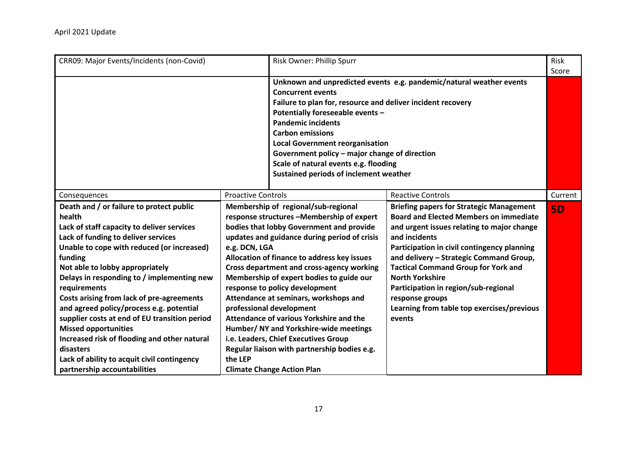| CRR09: Major Events/Incidents (non-Covid)                                                                                                                                                                                                                                                                                                                                                                                                                                                                                                                                                                              |                           | Risk Owner: Phillip Spurr                                                                                                                                                                                                                                                                                                                                                                                                                                                                                                                                                                                                                            |                                                                                                                                                                                                                                                                                                                                                                                                                                                      | <b>Risk</b><br>Score |
|------------------------------------------------------------------------------------------------------------------------------------------------------------------------------------------------------------------------------------------------------------------------------------------------------------------------------------------------------------------------------------------------------------------------------------------------------------------------------------------------------------------------------------------------------------------------------------------------------------------------|---------------------------|------------------------------------------------------------------------------------------------------------------------------------------------------------------------------------------------------------------------------------------------------------------------------------------------------------------------------------------------------------------------------------------------------------------------------------------------------------------------------------------------------------------------------------------------------------------------------------------------------------------------------------------------------|------------------------------------------------------------------------------------------------------------------------------------------------------------------------------------------------------------------------------------------------------------------------------------------------------------------------------------------------------------------------------------------------------------------------------------------------------|----------------------|
|                                                                                                                                                                                                                                                                                                                                                                                                                                                                                                                                                                                                                        |                           | <b>Concurrent events</b><br>Failure to plan for, resource and deliver incident recovery<br>Potentially foreseeable events -<br><b>Pandemic incidents</b><br><b>Carbon emissions</b><br><b>Local Government reorganisation</b><br>Government policy - major change of direction<br>Scale of natural events e.g. flooding<br><b>Sustained periods of inclement weather</b>                                                                                                                                                                                                                                                                             | Unknown and unpredicted events e.g. pandemic/natural weather events                                                                                                                                                                                                                                                                                                                                                                                  |                      |
| Consequences                                                                                                                                                                                                                                                                                                                                                                                                                                                                                                                                                                                                           | <b>Proactive Controls</b> |                                                                                                                                                                                                                                                                                                                                                                                                                                                                                                                                                                                                                                                      | <b>Reactive Controls</b>                                                                                                                                                                                                                                                                                                                                                                                                                             | Current              |
| Death and / or failure to protect public<br>health<br>Lack of staff capacity to deliver services<br>Lack of funding to deliver services<br>Unable to cope with reduced (or increased)<br>funding<br>Not able to lobby appropriately<br>Delays in responding to / implementing new<br>requirements<br>Costs arising from lack of pre-agreements<br>and agreed policy/process e.g. potential<br>supplier costs at end of EU transition period<br><b>Missed opportunities</b><br>Increased risk of flooding and other natural<br>disasters<br>Lack of ability to acquit civil contingency<br>partnership accountabilities | e.g. DCN, LGA<br>the LEP  | Membership of regional/sub-regional<br>response structures -Membership of expert<br>bodies that lobby Government and provide<br>updates and guidance during period of crisis<br>Allocation of finance to address key issues<br><b>Cross department and cross-agency working</b><br>Membership of expert bodies to guide our<br>response to policy development<br>Attendance at seminars, workshops and<br>professional development<br>Attendance of various Yorkshire and the<br>Humber/ NY and Yorkshire-wide meetings<br>i.e. Leaders, Chief Executives Group<br>Regular liaison with partnership bodies e.g.<br><b>Climate Change Action Plan</b> | <b>Briefing papers for Strategic Management</b><br><b>Board and Elected Members on immediate</b><br>and urgent issues relating to major change<br>and incidents<br>Participation in civil contingency planning<br>and delivery - Strategic Command Group,<br><b>Tactical Command Group for York and</b><br><b>North Yorkshire</b><br>Participation in region/sub-regional<br>response groups<br>Learning from table top exercises/previous<br>events | <b>5D</b>            |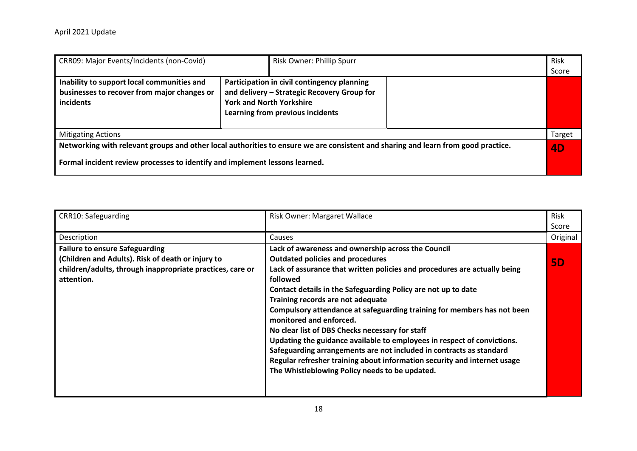| <b>CRR09: Major Events/Incidents (non-Covid)</b>                                                       |                                                                                                                                                                   | Risk Owner: Phillip Spurr                                                                                                         | Risk<br>Score |
|--------------------------------------------------------------------------------------------------------|-------------------------------------------------------------------------------------------------------------------------------------------------------------------|-----------------------------------------------------------------------------------------------------------------------------------|---------------|
| Inability to support local communities and<br>businesses to recover from major changes or<br>incidents | Participation in civil contingency planning<br>and delivery - Strategic Recovery Group for<br><b>York and North Yorkshire</b><br>Learning from previous incidents |                                                                                                                                   |               |
| <b>Mitigating Actions</b>                                                                              |                                                                                                                                                                   |                                                                                                                                   | Target        |
| Formal incident review processes to identify and implement lessons learned.                            |                                                                                                                                                                   | Networking with relevant groups and other local authorities to ensure we are consistent and sharing and learn from good practice. | 4D            |

| CRR10: Safeguarding                                       | <b>Risk Owner: Margaret Wallace</b>                                       |           |  |
|-----------------------------------------------------------|---------------------------------------------------------------------------|-----------|--|
|                                                           |                                                                           | Score     |  |
| Description                                               | Causes                                                                    |           |  |
| <b>Failure to ensure Safeguarding</b>                     | Lack of awareness and ownership across the Council                        |           |  |
| (Children and Adults). Risk of death or injury to         | <b>Outdated policies and procedures</b>                                   | <b>5D</b> |  |
| children/adults, through inappropriate practices, care or | Lack of assurance that written policies and procedures are actually being |           |  |
| attention.                                                | followed                                                                  |           |  |
|                                                           | Contact details in the Safeguarding Policy are not up to date             |           |  |
|                                                           | Training records are not adequate                                         |           |  |
|                                                           | Compulsory attendance at safeguarding training for members has not been   |           |  |
|                                                           | monitored and enforced.                                                   |           |  |
|                                                           | No clear list of DBS Checks necessary for staff                           |           |  |
|                                                           | Updating the guidance available to employees in respect of convictions.   |           |  |
|                                                           | Safeguarding arrangements are not included in contracts as standard       |           |  |
|                                                           | Regular refresher training about information security and internet usage  |           |  |
|                                                           | The Whistleblowing Policy needs to be updated.                            |           |  |
|                                                           |                                                                           |           |  |
|                                                           |                                                                           |           |  |